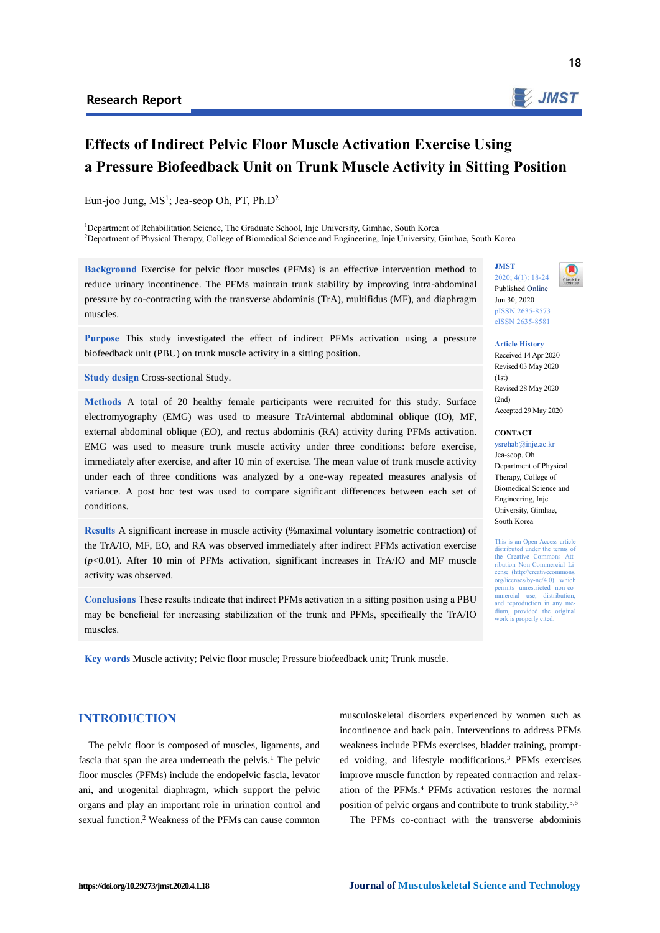

18

# **Effects of Indirect Pelvic Floor Muscle Activation Exercise Using a Pressure Biofeedback Unit on Trunk Muscle Activity in Sitting Position**

Eun-joo Jung, MS<sup>1</sup>; Jea-seop Oh, PT, Ph.D<sup>2</sup>

<sup>1</sup>Department of Rehabilitation Science, The Graduate School, Inje University, Gimhae, South Korea <sup>2</sup>Department of Physical Therapy, College of Biomedical Science and Engineering, Inje University, Gimhae, South Korea

**Background** Exercise for pelvic floor muscles (PFMs) is an effective intervention method to reduce urinary incontinence. The PFMs maintain trunk stability by improving intra-abdominal pressure by co-contracting with the transverse abdominis (TrA), multifidus (MF), and diaphragm muscles.

**Purpose** This study investigated the effect of indirect PFMs activation using a pressure biofeedback unit (PBU) on trunk muscle activity in a sitting position.

**Study design Cross-sectional Study.** 

**Methods** A total of 20 healthy female participants were recruited for this study. Surface electromyography (EMG) was used to measure TrA/internal abdominal oblique (IO), MF, external abdominal oblique (EO), and rectus abdominis (RA) activity during PFMs activation. EMG was used to measure trunk muscle activity under three conditions: before exercise, immediately after exercise, and after 10 min of exercise. The mean value of trunk muscle activity under each of three conditions was analyzed by a one-way repeated measures analysis of variance. A post hoc test was used to compare significant differences between each set of conditions.

**Results** A significant increase in muscle activity (%maximal voluntary isometric contraction) of the TrA/IO, MF, EO, and RA was observed immediately after indirect PFMs activation exercise (*p*<0.01). After 10 min of PFMs activation, significant increases in TrA/IO and MF muscle activity was observed.

**Conclusions** These results indicate that indirect PFMs activation in a sitting position using a PBU may be beneficial for increasing stabilization of the trunk and PFMs, specifically the TrA/IO muscles.

**Key words** Muscle activity; Pelvic floor muscle; Pressure biofeedback unit; Trunk muscle.

# **JMST** 2020; 4(1): 18-24 Published Online



Jun 30, 2020 pISSN 2635-8573 eISSN 2635-8581

**Article History** Received 14 Apr 2020 Revised 03 May 2020  $(1st)$ Revised 28 May 2020  $(2nd)$ Accepted 29 May 2020

#### **CONTACT**

ysrehab@inje.ac.kr Jea-seop, Oh Department of Physical Therapy, College of Biomedical Science and Engineering, Inje University, Gimhae, South Korea

This is an Open-Access article distributed under the terms of the Creative Commons Attribution Non-Commercial License (http://creativecommons org/licenses/by-nc/4.0) which permits unrestricted mmercial use, distribution, and reproduction in any medium, provided the original work is properly cited.

# **INTRODUCTION**

The pelvic floor is composed of muscles, ligaments, and fascia that span the area underneath the pelvis. $<sup>1</sup>$  The pelvic</sup> floor muscles (PFMs) include the endopelvic fascia, levator ani, and urogenital diaphragm, which support the pelvic organs and play an important role in urination control and sexual function.<sup>2</sup> Weakness of the PFMs can cause common

musculoskeletal disorders experienced by women such as incontinence and back pain. Interventions to address PFMs weakness include PFMs exercises, bladder training, prompted voiding, and lifestyle modifications.<sup>3</sup> PFMs exercises improve muscle function by repeated contraction and relaxation of the PFMs.<sup>4</sup> PFMs activation restores the normal position of pelvic organs and contribute to trunk stability.5,6

The PFMs co-contract with the transverse abdominis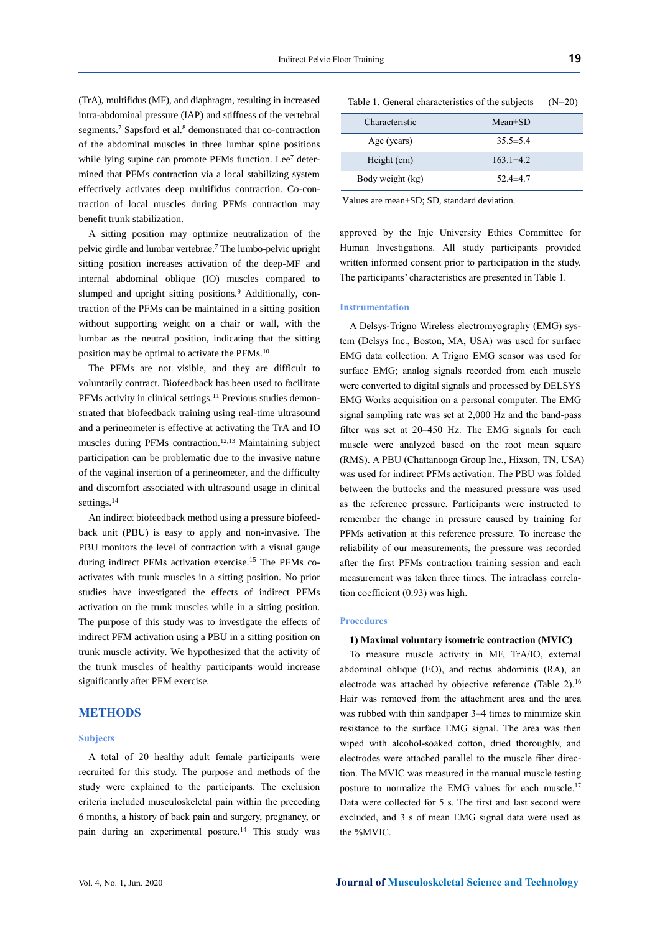(TrA), multifidus (MF), and diaphragm, resulting in increased intra-abdominal pressure (IAP) and stiffness of the vertebral segments.<sup>7</sup> Sapsford et al.<sup>8</sup> demonstrated that co-contraction of the abdominal muscles in three lumbar spine positions while lying supine can promote PFMs function. Lee<sup>7</sup> determined that PFMs contraction via a local stabilizing system effectively activates deep multifidus contraction. Co-contraction of local muscles during PFMs contraction may benefit trunk stabilization.

A sitting position may optimize neutralization of the pelvic girdle and lumbar vertebrae.<sup>7</sup> The lumbo-pelvic upright sitting position increases activation of the deep-MF and internal abdominal oblique (IO) muscles compared to slumped and upright sitting positions.<sup>9</sup> Additionally, contraction of the PFMs can be maintained in a sitting position without supporting weight on a chair or wall, with the lumbar as the neutral position, indicating that the sitting position may be optimal to activate the PFMs.<sup>10</sup>

The PFMs are not visible, and they are difficult to voluntarily contract. Biofeedback has been used to facilitate PFMs activity in clinical settings.<sup>11</sup> Previous studies demonstrated that biofeedback training using real-time ultrasound and a perineometer is effective at activating the TrA and IO muscles during PFMs contraction.12,13 Maintaining subject participation can be problematic due to the invasive nature of the vaginal insertion of a perineometer, and the difficulty and discomfort associated with ultrasound usage in clinical settings.<sup>14</sup>

An indirect biofeedback method using a pressure biofeedback unit (PBU) is easy to apply and non-invasive. The PBU monitors the level of contraction with a visual gauge during indirect PFMs activation exercise.<sup>15</sup> The PFMs coactivates with trunk muscles in a sitting position. No prior studies have investigated the effects of indirect PFMs activation on the trunk muscles while in a sitting position. The purpose of this study was to investigate the effects of indirect PFM activation using a PBU in a sitting position on trunk muscle activity. We hypothesized that the activity of the trunk muscles of healthy participants would increase significantly after PFM exercise.

#### **METHODS**

#### **Subjects**

A total of 20 healthy adult female participants were recruited for this study. The purpose and methods of the study were explained to the participants. The exclusion criteria included musculoskeletal pain within the preceding 6 months, a history of back pain and surgery, pregnancy, or pain during an experimental posture.<sup>14</sup> This study was

| Table 1. General characteristics of the subjects $(N=20)$ |  |  |  |
|-----------------------------------------------------------|--|--|--|
|-----------------------------------------------------------|--|--|--|

| Characteristic   | $Mean \pm SD$  |  |
|------------------|----------------|--|
| Age (years)      | $35.5 \pm 5.4$ |  |
| Height (cm)      | $163.1\pm4.2$  |  |
| Body weight (kg) | 52.4 $\pm$ 4.7 |  |

Values are mean±SD; SD, standard deviation.

approved by the Inje University Ethics Committee for Human Investigations. All study participants provided written informed consent prior to participation in the study. The participants' characteristics are presented in Table 1.

## **Instrumentation**

A Delsys-Trigno Wireless electromyography (EMG) system (Delsys Inc., Boston, MA, USA) was used for surface EMG data collection. A Trigno EMG sensor was used for surface EMG; analog signals recorded from each muscle were converted to digital signals and processed by DELSYS EMG Works acquisition on a personal computer. The EMG signal sampling rate was set at 2,000 Hz and the band-pass filter was set at 20–450 Hz. The EMG signals for each muscle were analyzed based on the root mean square (RMS). A PBU (Chattanooga Group Inc., Hixson, TN, USA) was used for indirect PFMs activation. The PBU was folded between the buttocks and the measured pressure was used as the reference pressure. Participants were instructed to remember the change in pressure caused by training for PFMs activation at this reference pressure. To increase the reliability of our measurements, the pressure was recorded after the first PFMs contraction training session and each measurement was taken three times. The intraclass correlation coefficient (0.93) was high.

#### **Procedures**

#### **1) Maximal voluntary isometric contraction (MVIC)**

To measure muscle activity in MF, TrA/IO, external abdominal oblique (EO), and rectus abdominis (RA), an electrode was attached by objective reference (Table 2).<sup>16</sup> Hair was removed from the attachment area and the area was rubbed with thin sandpaper 3–4 times to minimize skin resistance to the surface EMG signal. The area was then wiped with alcohol-soaked cotton, dried thoroughly, and electrodes were attached parallel to the muscle fiber direction. The MVIC was measured in the manual muscle testing posture to normalize the EMG values for each muscle.<sup>17</sup> Data were collected for 5 s. The first and last second were excluded, and 3 s of mean EMG signal data were used as the %MVIC.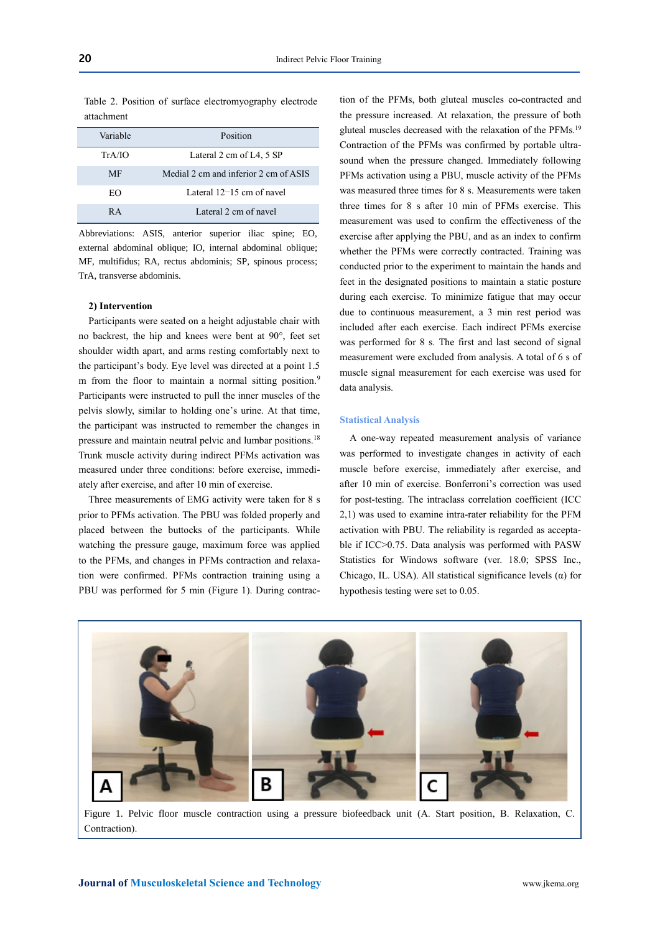Table 2. Position of surface electromyography electrode attachment

| Variable | Position                              |  |
|----------|---------------------------------------|--|
| TrA/IO   | Lateral 2 cm of L4, 5 SP              |  |
| MF       | Medial 2 cm and inferior 2 cm of ASIS |  |
| EΩ       | Lateral $12-15$ cm of navel           |  |
| R A      | Lateral 2 cm of navel                 |  |

Abbreviations: ASIS, anterior superior iliac spine; EO, external abdominal oblique; IO, internal abdominal oblique; MF, multifidus; RA, rectus abdominis; SP, spinous process; TrA, transverse abdominis.

#### **2) Intervention**

Participants were seated on a height adjustable chair with no backrest, the hip and knees were bent at 90°, feet set shoulder width apart, and arms resting comfortably next to the participant's body. Eye level was directed at a point 1.5 m from the floor to maintain a normal sitting position.<sup>9</sup> Participants were instructed to pull the inner muscles of the pelvis slowly, similar to holding one's urine. At that time, the participant was instructed to remember the changes in pressure and maintain neutral pelvic and lumbar positions.<sup>18</sup> Trunk muscle activity during indirect PFMs activation was measured under three conditions: before exercise, immediately after exercise, and after 10 min of exercise.

Three measurements of EMG activity were taken for 8 s prior to PFMs activation. The PBU was folded properly and placed between the buttocks of the participants. While watching the pressure gauge, maximum force was applied to the PFMs, and changes in PFMs contraction and relaxation were confirmed. PFMs contraction training using a PBU was performed for 5 min (Figure 1). During contrac-

tion of the PFMs, both gluteal muscles co-contracted and the pressure increased. At relaxation, the pressure of both gluteal muscles decreased with the relaxation of the PFMs.<sup>19</sup> Contraction of the PFMs was confirmed by portable ultrasound when the pressure changed. Immediately following PFMs activation using a PBU, muscle activity of the PFMs was measured three times for 8 s. Measurements were taken three times for 8 s after 10 min of PFMs exercise. This measurement was used to confirm the effectiveness of the exercise after applying the PBU, and as an index to confirm whether the PFMs were correctly contracted. Training was conducted prior to the experiment to maintain the hands and feet in the designated positions to maintain a static posture during each exercise. To minimize fatigue that may occur due to continuous measurement, a 3 min rest period was included after each exercise. Each indirect PFMs exercise was performed for 8 s. The first and last second of signal measurement were excluded from analysis. A total of 6 s of muscle signal measurement for each exercise was used for data analysis.

#### **Statistical Analysis**

A one-way repeated measurement analysis of variance was performed to investigate changes in activity of each muscle before exercise, immediately after exercise, and after 10 min of exercise. Bonferroni's correction was used for post-testing. The intraclass correlation coefficient (ICC 2,1) was used to examine intra-rater reliability for the PFM activation with PBU. The reliability is regarded as acceptable if ICC>0.75. Data analysis was performed with PASW Statistics for Windows software (ver. 18.0; SPSS Inc., Chicago, IL. USA). All statistical significance levels  $(\alpha)$  for hypothesis testing were set to 0.05.



Figure 1. Pelvic floor muscle contraction using a pressure biofeedback unit (A. Start position, B. Relaxation, C. Contraction).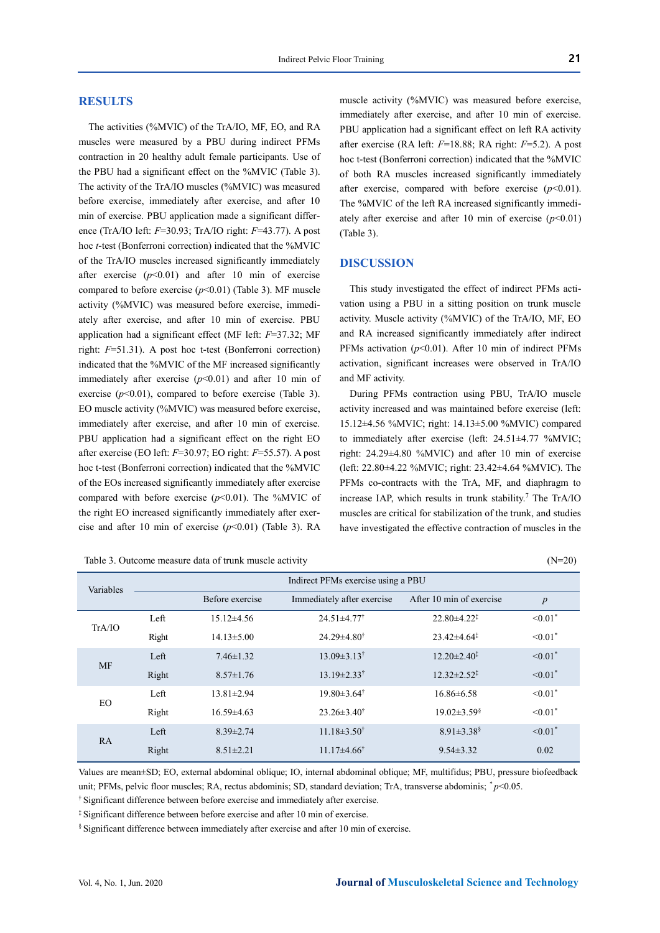# **RESULTS**

The activities (%MVIC) of the TrA/IO, MF, EO, and RA muscles were measured by a PBU during indirect PFMs contraction in 20 healthy adult female participants. Use of the PBU had a significant effect on the %MVIC (Table 3). The activity of the TrA/IO muscles (%MVIC) was measured before exercise, immediately after exercise, and after 10 min of exercise. PBU application made a significant difference (TrA/IO left: *F*=30.93; TrA/IO right: *F*=43.77). A post hoc *t*-test (Bonferroni correction) indicated that the %MVIC of the TrA/IO muscles increased significantly immediately after exercise  $(p<0.01)$  and after 10 min of exercise compared to before exercise (*p*<0.01) (Table 3). MF muscle activity (%MVIC) was measured before exercise, immediately after exercise, and after 10 min of exercise. PBU application had a significant effect (MF left: *F*=37.32; MF right: *F*=51.31). A post hoc t-test (Bonferroni correction) indicated that the %MVIC of the MF increased significantly immediately after exercise  $(p<0.01)$  and after 10 min of exercise  $(p<0.01)$ , compared to before exercise (Table 3). EO muscle activity (%MVIC) was measured before exercise, immediately after exercise, and after 10 min of exercise. PBU application had a significant effect on the right EO after exercise (EO left: *F*=30.97; EO right: *F*=55.57). A post hoc t-test (Bonferroni correction) indicated that the %MVIC of the EOs increased significantly immediately after exercise compared with before exercise  $(p<0.01)$ . The %MVIC of the right EO increased significantly immediately after exercise and after 10 min of exercise (*p*<0.01) (Table 3). RA

Table 3. Outcome measure data of trunk muscle activity (N=20)

muscle activity (%MVIC) was measured before exercise, immediately after exercise, and after 10 min of exercise. PBU application had a significant effect on left RA activity after exercise (RA left: *F*=18.88; RA right: *F*=5.2). A post hoc t-test (Bonferroni correction) indicated that the %MVIC of both RA muscles increased significantly immediately after exercise, compared with before exercise  $(p<0.01)$ . The %MVIC of the left RA increased significantly immediately after exercise and after 10 min of exercise  $(p<0.01)$ (Table 3).

## **DISCUSSION**

This study investigated the effect of indirect PFMs activation using a PBU in a sitting position on trunk muscle activity. Muscle activity (%MVIC) of the TrA/IO, MF, EO and RA increased significantly immediately after indirect PFMs activation (*p*<0.01). After 10 min of indirect PFMs activation, significant increases were observed in TrA/IO and MF activity.

During PFMs contraction using PBU, TrA/IO muscle activity increased and was maintained before exercise (left: 15.12±4.56 %MVIC; right: 14.13±5.00 %MVIC) compared to immediately after exercise (left: 24.51±4.77 %MVIC; right: 24.29±4.80 %MVIC) and after 10 min of exercise (left: 22.80±4.22 %MVIC; right: 23.42±4.64 %MVIC). The PFMs co-contracts with the TrA, MF, and diaphragm to increase IAP, which results in trunk stability. <sup>7</sup> The TrA/IO muscles are critical for stabilization of the trunk, and studies have investigated the effective contraction of muscles in the

| Variables | Indirect PFMs exercise using a PBU |                  |                               |                               |                          |
|-----------|------------------------------------|------------------|-------------------------------|-------------------------------|--------------------------|
|           |                                    | Before exercise  | Immediately after exercise    | After 10 min of exercise      | $\boldsymbol{p}$         |
| TrA/IO    | Left                               | $15.12\pm4.56$   | $24.51 \pm 4.77$ <sup>†</sup> | $22.80 \pm 4.22^{\ddagger}$   | $\leq 0.01$ <sup>*</sup> |
|           | Right                              | $14.13 \pm 5.00$ | $24.29 \pm 4.80^{\dagger}$    | $23.42 \pm 4.64^{\ddagger}$   | $\leq 0.01$ <sup>*</sup> |
| <b>MF</b> | Left                               | $7.46 \pm 1.32$  | $13.09 \pm 3.13^{\dagger}$    | $12.20 \pm 2.40^{\ddagger}$   | $\leq 0.01$ <sup>*</sup> |
|           | Right                              | $8.57 \pm 1.76$  | $13.19 \pm 2.33^{\dagger}$    | $12.32 \pm 2.52^{\ddagger}$   | $\leq 0.01$ <sup>*</sup> |
| EO.       | Left                               | $13.81 \pm 2.94$ | $19.80 \pm 3.64^{\dagger}$    | $16.86 \pm 6.58$              | $< 0.01$ <sup>*</sup>    |
|           | Right                              | $16.59 \pm 4.63$ | $23.26 \pm 3.40^{\dagger}$    | $19.02 \pm 3.59$ <sup>§</sup> | $< 0.01$ <sup>*</sup>    |
| <b>RA</b> | Left                               | $8.39 \pm 2.74$  | $11.18 \pm 3.50^{\dagger}$    | $8.91 \pm 3.38$ <sup>§</sup>  | $\leq 0.01$ <sup>*</sup> |
|           | Right                              | $8.51 \pm 2.21$  | $11.17\pm4.66^{\dagger}$      | $9.54 \pm 3.32$               | 0.02                     |

Values are mean±SD; EO, external abdominal oblique; IO, internal abdominal oblique; MF, multifidus; PBU, pressure biofeedback unit; PFMs, pelvic floor muscles; RA, rectus abdominis; SD, standard deviation; TrA, transverse abdominis;  $p<0.05$ .

† Significant difference between before exercise and immediately after exercise.

‡ Significant difference between before exercise and after 10 min of exercise.

§ Significant difference between immediately after exercise and after 10 min of exercise.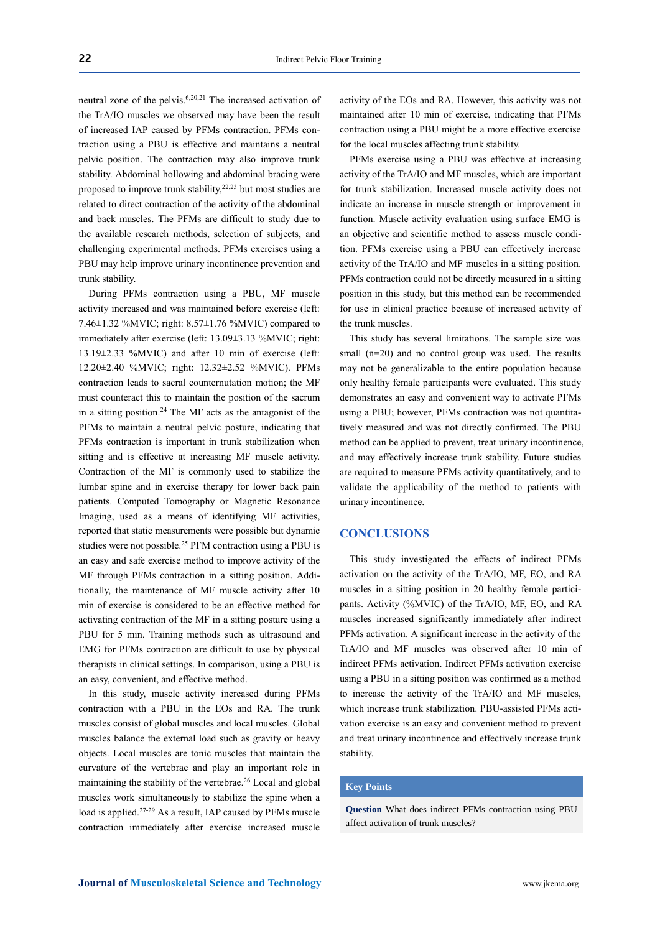neutral zone of the pelvis.6,20,21 The increased activation of the TrA/IO muscles we observed may have been the result of increased IAP caused by PFMs contraction. PFMs contraction using a PBU is effective and maintains a neutral pelvic position. The contraction may also improve trunk stability. Abdominal hollowing and abdominal bracing were proposed to improve trunk stability,<sup>22,23</sup> but most studies are related to direct contraction of the activity of the abdominal and back muscles. The PFMs are difficult to study due to the available research methods, selection of subjects, and challenging experimental methods. PFMs exercises using a PBU may help improve urinary incontinence prevention and trunk stability.

During PFMs contraction using a PBU, MF muscle activity increased and was maintained before exercise (left: 7.46±1.32 %MVIC; right: 8.57±1.76 %MVIC) compared to immediately after exercise (left: 13.09±3.13 %MVIC; right: 13.19±2.33 %MVIC) and after 10 min of exercise (left: 12.20±2.40 %MVIC; right: 12.32±2.52 %MVIC). PFMs contraction leads to sacral counternutation motion; the MF must counteract this to maintain the position of the sacrum in a sitting position. <sup>24</sup> The MF acts as the antagonist of the PFMs to maintain a neutral pelvic posture, indicating that PFMs contraction is important in trunk stabilization when sitting and is effective at increasing MF muscle activity. Contraction of the MF is commonly used to stabilize the lumbar spine and in exercise therapy for lower back pain patients. Computed Tomography or Magnetic Resonance Imaging, used as a means of identifying MF activities, reported that static measurements were possible but dynamic studies were not possible.<sup>25</sup> PFM contraction using a PBU is an easy and safe exercise method to improve activity of the MF through PFMs contraction in a sitting position. Additionally, the maintenance of MF muscle activity after 10 min of exercise is considered to be an effective method for activating contraction of the MF in a sitting posture using a PBU for 5 min. Training methods such as ultrasound and EMG for PFMs contraction are difficult to use by physical therapists in clinical settings. In comparison, using a PBU is an easy, convenient, and effective method.

In this study, muscle activity increased during PFMs contraction with a PBU in the EOs and RA. The trunk muscles consist of global muscles and local muscles. Global muscles balance the external load such as gravity or heavy objects. Local muscles are tonic muscles that maintain the curvature of the vertebrae and play an important role in maintaining the stability of the vertebrae.<sup>26</sup> Local and global muscles work simultaneously to stabilize the spine when a load is applied.<sup>27-29</sup> As a result, IAP caused by PFMs muscle contraction immediately after exercise increased muscle

activity of the EOs and RA. However, this activity was not maintained after 10 min of exercise, indicating that PFMs contraction using a PBU might be a more effective exercise for the local muscles affecting trunk stability.

PFMs exercise using a PBU was effective at increasing activity of the TrA/IO and MF muscles, which are important for trunk stabilization. Increased muscle activity does not indicate an increase in muscle strength or improvement in function. Muscle activity evaluation using surface EMG is an objective and scientific method to assess muscle condition. PFMs exercise using a PBU can effectively increase activity of the TrA/IO and MF muscles in a sitting position. PFMs contraction could not be directly measured in a sitting position in this study, but this method can be recommended for use in clinical practice because of increased activity of the trunk muscles.

This study has several limitations. The sample size was small (n=20) and no control group was used. The results may not be generalizable to the entire population because only healthy female participants were evaluated. This study demonstrates an easy and convenient way to activate PFMs using a PBU; however, PFMs contraction was not quantitatively measured and was not directly confirmed. The PBU method can be applied to prevent, treat urinary incontinence, and may effectively increase trunk stability. Future studies are required to measure PFMs activity quantitatively, and to validate the applicability of the method to patients with urinary incontinence.

# **CONCLUSIONS**

This study investigated the effects of indirect PFMs activation on the activity of the TrA/IO, MF, EO, and RA muscles in a sitting position in 20 healthy female participants. Activity (%MVIC) of the TrA/IO, MF, EO, and RA muscles increased significantly immediately after indirect PFMs activation. A significant increase in the activity of the TrA/IO and MF muscles was observed after 10 min of indirect PFMs activation. Indirect PFMs activation exercise using a PBU in a sitting position was confirmed as a method to increase the activity of the TrA/IO and MF muscles, which increase trunk stabilization. PBU-assisted PFMs activation exercise is an easy and convenient method to prevent and treat urinary incontinence and effectively increase trunk stability.

#### **Key Points**

**Question** What does indirect PFMs contraction using PBU affect activation of trunk muscles?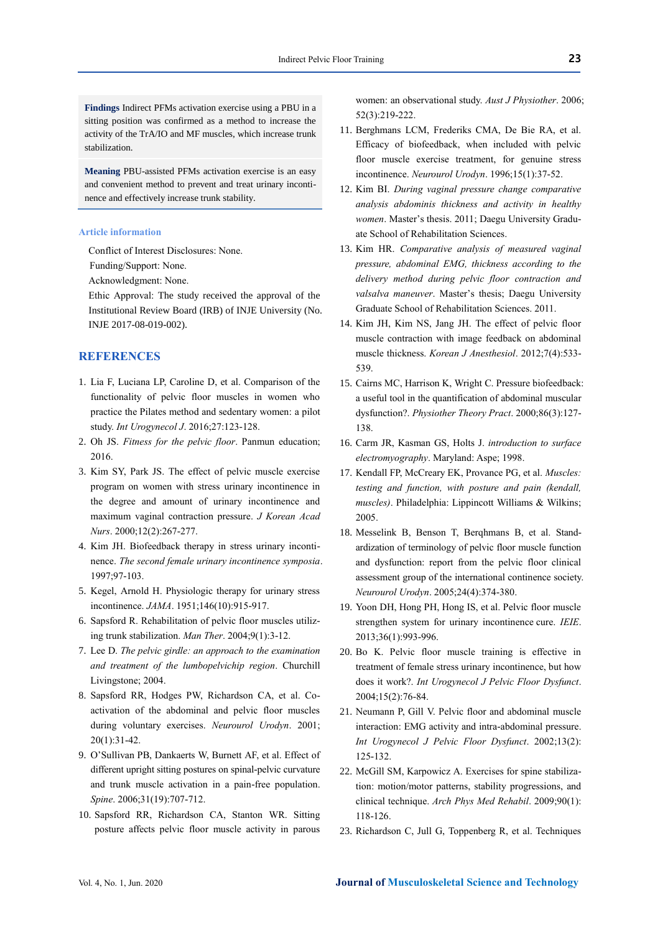**Findings** Indirect PFMs activation exercise using a PBU in a sitting position was confirmed as a method to increase the activity of the TrA/IO and MF muscles, which increase trunk stabilization.

**Meaning** PBU-assisted PFMs activation exercise is an easy and convenient method to prevent and treat urinary incontinence and effectively increase trunk stability.

#### **Article information**

Conflict of Interest Disclosures: None.

Funding/Support: None.

Acknowledgment: None.

Ethic Approval: The study received the approval of the Institutional Review Board (IRB) of INJE University (No. INJE 2017-08-019-002).

# **REFERENCES**

- 1. Lia F, Luciana LP, Caroline D, et al. Comparison of the functionality of pelvic floor muscles in women who practice the Pilates method and sedentary women: a pilot study. *Int Urogynecol J*. 2016;27:123-128.
- 2. Oh JS. *Fitness for the pelvic floor*. Panmun education; 2016.
- 3. Kim SY, Park JS. The effect of pelvic muscle exercise program on women with stress urinary incontinence in the degree and amount of urinary incontinence and maximum vaginal contraction pressure. *J Korean Acad Nurs*. 2000;12(2):267-277.
- 4. Kim JH. Biofeedback therapy in stress urinary incontinence. *The second female urinary incontinence symposia*. 1997;97-103.
- 5. Kegel, Arnold H. Physiologic therapy for urinary stress incontinence. *JAMA*. 1951;146(10):915-917.
- 6. Sapsford R. Rehabilitation of pelvic floor muscles utilizing trunk stabilization. *Man Ther*. 2004;9(1):3-12.
- 7. Lee D. *The pelvic girdle: an approach to the examination and treatment of the lumbopelvichip region*. Churchill Livingstone; 2004.
- 8. Sapsford RR, Hodges PW, Richardson CA, et al. Co‐ activation of the abdominal and pelvic floor muscles during voluntary exercises. *Neurourol Urodyn*. 2001; 20(1):31-42.
- 9. O'Sullivan PB, Dankaerts W, Burnett AF, et al. Effect of different upright sitting postures on spinal-pelvic curvature and trunk muscle activation in a pain-free population. *Spine*. 2006;31(19):707-712.
- 10. Sapsford RR, Richardson CA, Stanton WR. Sitting posture affects pelvic floor muscle activity in parous

women: an observational study. *Aust J Physiother*. 2006; 52(3):219-222.

- 11. Berghmans LCM, Frederiks CMA, De Bie RA, et al. Efficacy of biofeedback, when included with pelvic floor muscle exercise treatment, for genuine stress incontinence. *Neurourol Urodyn*. 1996;15(1):37-52.
- 12. Kim BI. *During vaginal pressure change comparative analysis abdominis thickness and activity in healthy women*. Master's thesis. 2011; Daegu University Graduate School of Rehabilitation Sciences.
- 13. Kim HR. *Comparative analysis of measured vaginal pressure, abdominal EMG, thickness according to the delivery method during pelvic floor contraction and valsalva maneuver*. Master's thesis; Daegu University Graduate School of Rehabilitation Sciences. 2011.
- 14. Kim JH, Kim NS, Jang JH. The effect of pelvic floor muscle contraction with image feedback on abdominal muscle thickness. *Korean J Anesthesiol*. 2012;7(4):533- 539.
- 15. Cairns MC, Harrison K, Wright C. Pressure biofeedback: a useful tool in the quantification of abdominal muscular dysfunction?. *Physiother Theory Pract*. 2000;86(3):127- 138.
- 16. Carm JR, Kasman GS, Holts J. *introduction to surface electromyography*. Maryland: Aspe; 1998.
- 17. Kendall FP, McCreary EK, Provance PG, et al. *Muscles: testing and function, with posture and pain (kendall, muscles)*. Philadelphia: Lippincott Williams & Wilkins; 2005.
- 18. Messelink B, Benson T, Berqhmans B, et al. Standardization of terminology of pelvic floor muscle function and dysfunction: report from the pelvic floor clinical assessment group of the international continence society. *Neurourol Urodyn*. 2005;24(4):374-380.
- 19. Yoon DH, Hong PH, Hong IS, et al. Pelvic floor muscle strengthen system for urinary incontinence cure. *IEIE*. 2013;36(1):993-996.
- 20. Bo K. Pelvic floor muscle training is effective in treatment of female stress urinary incontinence, but how does it work?. *Int Urogynecol J Pelvic Floor Dysfunct*. 2004;15(2):76-84.
- 21. Neumann P, Gill V. Pelvic floor and abdominal muscle interaction: EMG activity and intra-abdominal pressure. *Int Urogynecol J Pelvic Floor Dysfunct*. 2002;13(2): 125-132.
- 22. McGill SM, Karpowicz A. Exercises for spine stabilization: motion/motor patterns, stability progressions, and clinical technique. *Arch Phys Med Rehabil*. 2009;90(1): 118-126.
- 23. Richardson C, Jull G, Toppenberg R, et al. Techniques